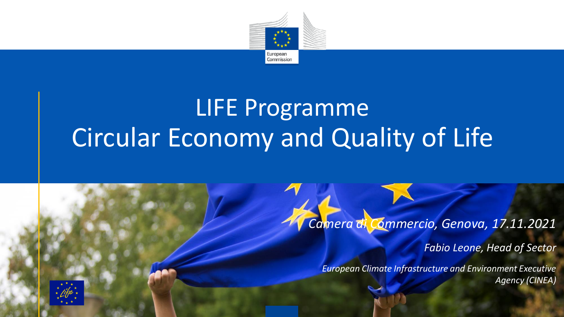

# LIFE Programme Circular Economy and Quality of Life

#### *Camera di Commercio, Genova, 17.11.2021*

*Fabio Leone, Head of Sector*

*European Climate Infrastructure and Environment Executive Agency (CINEA)*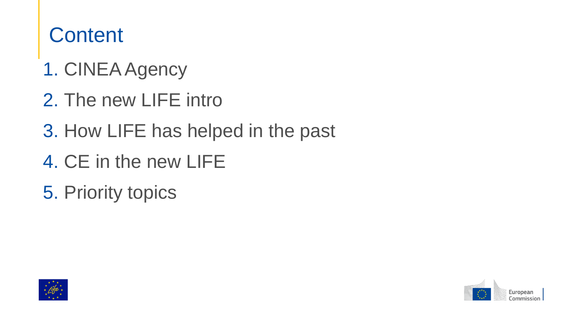## **Content**

- 1. CINEA Agency
- 2. The new LIFE intro
- 3. How LIFE has helped in the past
- 4. CE in the new LIFE
- 5. Priority topics



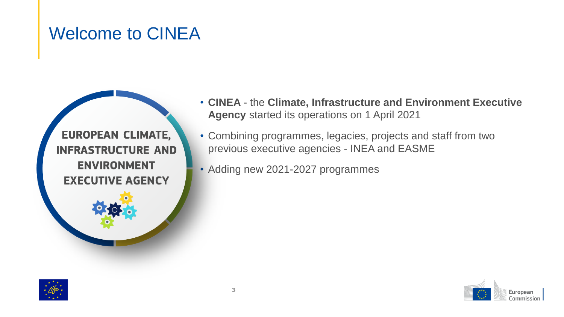### Welcome to CINEA

**EUROPEAN CLIMATE, INFRASTRUCTURE AND ENVIRONMENT EXECUTIVE AGENCY** 

- **CINEA**  the **Climate, Infrastructure and Environment Executive Agency** started its operations on 1 April 2021
- Combining programmes, legacies, projects and staff from two previous executive agencies - INEA and EASME
- Adding new 2021-2027 programmes



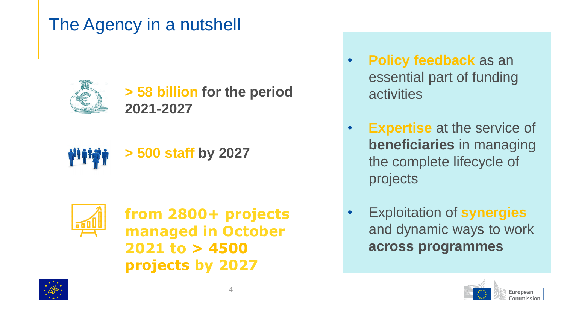### The Agency in a nutshell



**> 58 billion for the period 2021-2027**





**from 2800+ projects managed in October 2021 to > 4500 projects by 2027** 

- **Policy feedback** as an essential part of funding **activities**
- **Expertise** at the service of **beneficiaries** in managing the complete lifecycle of projects
- Exploitation of **synergies**  and dynamic ways to work **across programmes**



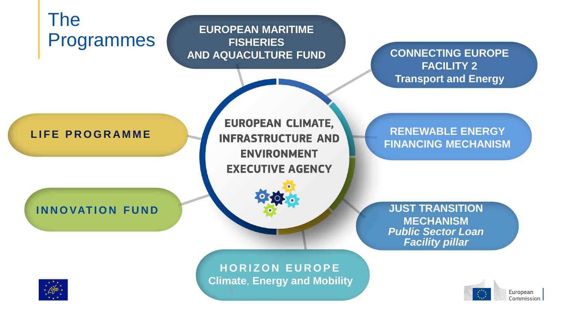

European Commission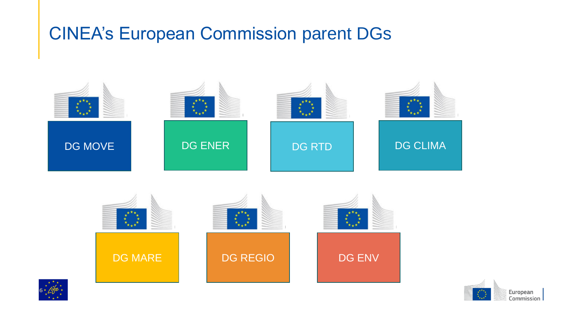### CINEA's European Commission parent DGs







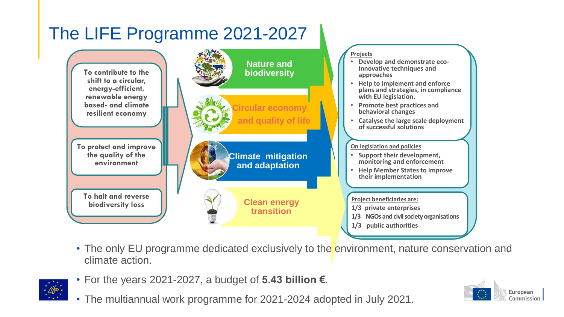

• The only EU programme dedicated exclusively to the environment, nature conservation and climate action.



- For the years 2021-2027, a budget of **5.43 billion €**.
- The multiannual work programme for 2021-2024 adopted in July 2021.

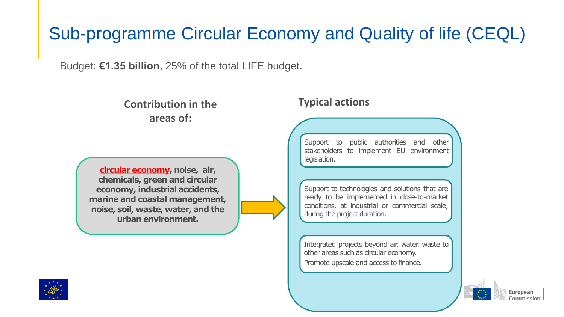## Sub-programme Circular Economy and Quality of life (CEQL)

Budget: **€1.35 billion**, 25% of the total LIFE budget.

**Contribution in the areas of:**

**circular economy, noise, air, chemicals, green and circular economy, industrial accidents, marine and coastal management, noise, soil, waste, water, and the urban environment.**

#### **Typical actions**

Support to public authorities and other stakeholders to implement EU environment legislation.

Support to technologies and solutions that are ready to be implemented in close-to-market conditions, at industrial or commercial scale, during the project duration.

Integrated projects beyond air, water, waste to other areas such as circular economy. Promote upscale and access to finance.

 $\begin{smallmatrix} \star^{\star\star}\star_{\star}\\ \star&\star\\ \star_{\star\star}^{\star} & \star \end{smallmatrix}$ 

European Commission

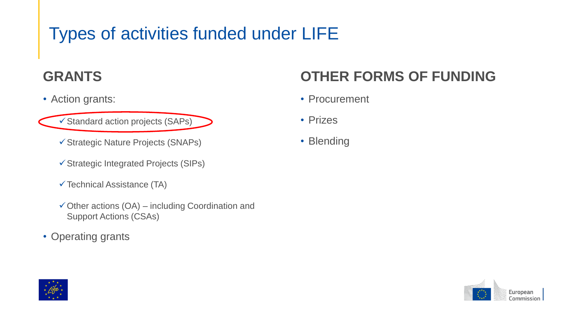## Types of activities funded under LIFE

#### **GRANTS**

• Action grants:

✓Standard action projects (SAPs)

- ✓Strategic Nature Projects (SNAPs)
- ✓Strategic Integrated Projects (SIPs)
- $\checkmark$  Technical Assistance (TA)
- $\checkmark$  Other actions (OA) including Coordination and Support Actions (CSAs)
- Operating grants

#### **OTHER FORMS OF FUNDING**

- Procurement
- Prizes
- Blending



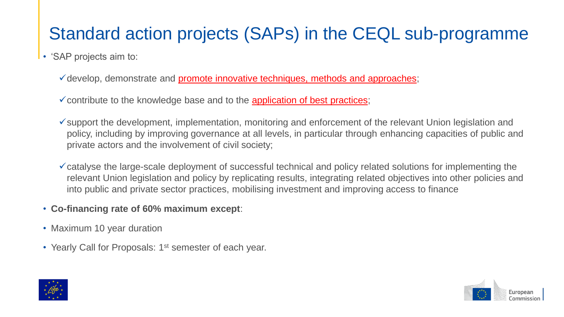### Standard action projects (SAPs) in the CEQL sub-programme

- 'SAP projects aim to:
	- ✓develop, demonstrate and promote innovative techniques, methods and approaches;
	- $\checkmark$  contribute to the knowledge base and to the application of best practices;
	- ✓support the development, implementation, monitoring and enforcement of the relevant Union legislation and policy, including by improving governance at all levels, in particular through enhancing capacities of public and private actors and the involvement of civil society;
	- $\checkmark$  catalyse the large-scale deployment of successful technical and policy related solutions for implementing the relevant Union legislation and policy by replicating results, integrating related objectives into other policies and into public and private sector practices, mobilising investment and improving access to finance
- **Co-financing rate of 60% maximum except**:
- Maximum 10 year duration
- Yearly Call for Proposals: 1<sup>st</sup> semester of each year.



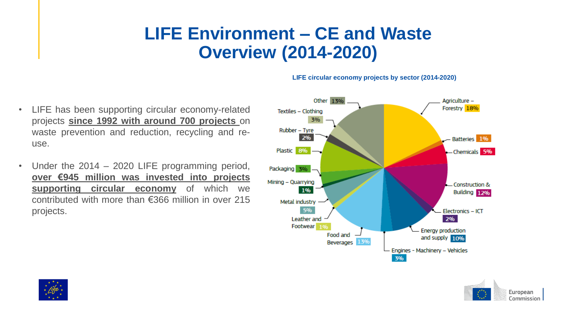### **LIFE Environment – CE and Waste Overview (2014-2020)**

- LIFE has been supporting circular economy-related projects **since 1992 with around 700 projects** on waste prevention and reduction, recycling and reuse.
- Under the 2014 2020 LIFE programming period, **over €945 million was invested into projects supporting circular economy** of which we contributed with more than €366 million in over 215 projects.





**LIFE circular economy projects by sector (2014-2020)**

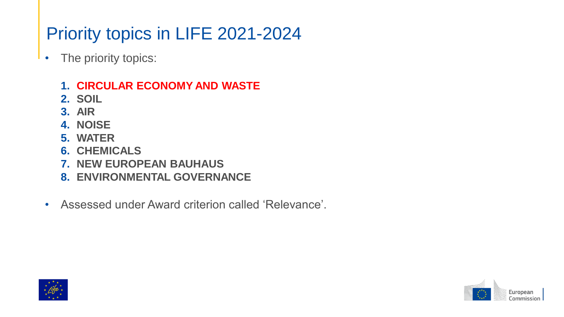## Priority topics in LIFE 2021-2024

- The priority topics:
	- **1. CIRCULAR ECONOMY AND WASTE**
	- **2. SOIL**
	- **3. AIR**
	- **4. NOISE**
	- **5. WATER**
	- **6. CHEMICALS**
	- **7. NEW EUROPEAN BAUHAUS**
	- **8. ENVIRONMENTAL GOVERNANCE**
- Assessed under Award criterion called 'Relevance'.



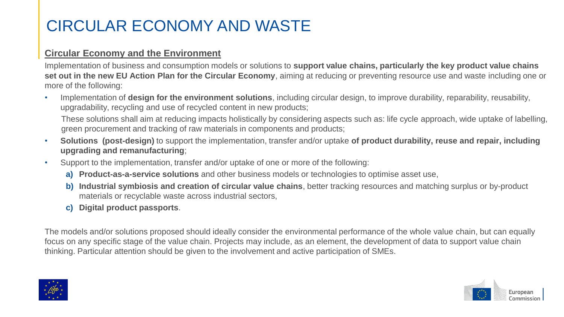### CIRCULAR ECONOMY AND WASTE

#### **Circular Economy and the Environment**

Implementation of business and consumption models or solutions to **support value chains, particularly the key product value chains set out in the new EU Action Plan for the Circular Economy**, aiming at reducing or preventing resource use and waste including one or more of the following:

• Implementation of **design for the environment solutions**, including circular design, to improve durability, reparability, reusability, upgradability, recycling and use of recycled content in new products;

These solutions shall aim at reducing impacts holistically by considering aspects such as: life cycle approach, wide uptake of labelling, green procurement and tracking of raw materials in components and products;

- **Solutions (post-design)** to support the implementation, transfer and/or uptake **of product durability, reuse and repair, including upgrading and remanufacturing**;
- Support to the implementation, transfer and/or uptake of one or more of the following:
	- **a) Product-as-a-service solutions** and other business models or technologies to optimise asset use,
	- **b) Industrial symbiosis and creation of circular value chains**, better tracking resources and matching surplus or by-product materials or recyclable waste across industrial sectors,
	- **c) Digital product passports**.

The models and/or solutions proposed should ideally consider the environmental performance of the whole value chain, but can equally focus on any specific stage of the value chain. Projects may include, as an element, the development of data to support value chain thinking. Particular attention should be given to the involvement and active participation of SMEs.



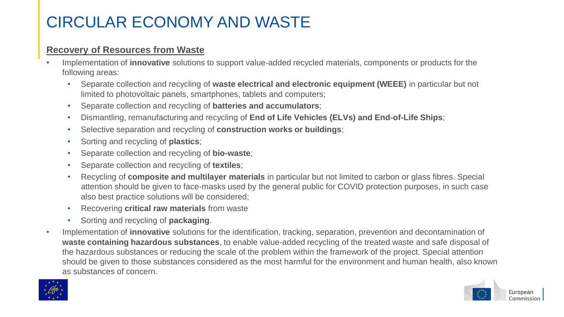### CIRCULAR ECONOMY AND WASTE

#### **Recovery of Resources from Waste**

- Implementation of **innovative** solutions to support value-added recycled materials, components or products for the following areas:
	- Separate collection and recycling of **waste electrical and electronic equipment (WEEE)** in particular but not limited to photovoltaic panels, smartphones, tablets and computers;
	- Separate collection and recycling of **batteries and accumulators**;
	- Dismantling, remanufacturing and recycling of **End of Life Vehicles (ELVs) and End-of-Life Ships**;
	- Selective separation and recycling of **construction works or buildings**;
	- Sorting and recycling of **plastics**;
	- Separate collection and recycling of **bio-waste**;
	- Separate collection and recycling of **textiles**;
	- Recycling of **composite and multilayer materials** in particular but not limited to carbon or glass fibres. Special attention should be given to face-masks used by the general public for COVID protection purposes, in such case also best practice solutions will be considered;
	- Recovering **critical raw materials** from waste
	- Sorting and recycling of **packaging**.
- Implementation of **innovative** solutions for the identification, tracking, separation, prevention and decontamination of **waste containing hazardous substances**, to enable value-added recycling of the treated waste and safe disposal of the hazardous substances or reducing the scale of the problem within the framework of the project. Special attention should be given to those substances considered as the most harmful for the environment and human health, also known as substances of concern.